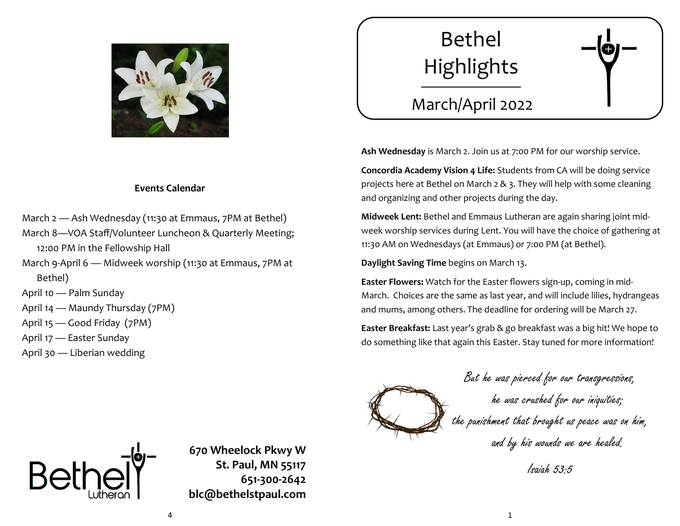

## **Events Calendar**

- March 2 Ash Wednesday (11:30 at Emmaus, 7PM at Bethel)
- March 8—VOA Staff/Volunteer Luncheon & Quarterly Meeting; 12:00 PM in the Fellowship Hall
- March 9-April 6 Midweek worship (11:30 at Emmaus, 7PM at Bethel)

April 10 — Palm Sunday

April 14 — Maundy Thursday (7PM)

- April 15 Good Friday (7PM)
- April 17 Easter Sunday
- April 30 Liberian wedding



# March/April 2022

**Ash Wednesday** is March 2. Join us at 7:00 PM for our worship service.

**Concordia Academy Vision 4 Life:** Students from CA will be doing service projects here at Bethel on March 2 & 3. They will help with some cleaning and organizing and other projects during the day.

**Midweek Lent:** Bethel and Emmaus Lutheran are again sharing joint midweek worship services during Lent. You will have the choice of gathering at 11:30 AM on Wednesdays (at Emmaus) or 7:00 PM (at Bethel).

**Daylight Saving Time** begins on March 13.

**Easter Flowers:** Watch for the Easter flowers sign-up, coming in mid-March. Choices are the same as last year, and will include lilies, hydrangeas and mums, among others. The deadline for ordering will be March 27.

**Easter Breakfast:** Last year's grab & go breakfast was a big hit! We hope to do something like that again this Easter. Stay tuned for more information!

> But he was pierced for our transgressions, he was crushed for our iniquities; the punishment that brought us peace was on him, and by his wounds we are healed.

> > Isaiah 53:5



**670 Wheelock Pkwy W St. Paul, MN 55117 651-300-2642 blc@bethelstpaul.com**